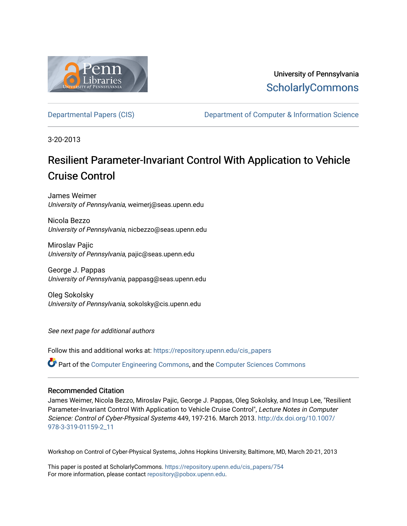

University of Pennsylvania **ScholarlyCommons** 

[Departmental Papers \(CIS\)](https://repository.upenn.edu/cis_papers) [Department of Computer & Information Science](https://repository.upenn.edu/cis) 

3-20-2013

# Resilient Parameter-Invariant Control With Application to Vehicle Cruise Control

James Weimer University of Pennsylvania, weimerj@seas.upenn.edu

Nicola Bezzo University of Pennsylvania, nicbezzo@seas.upenn.edu

Miroslav Pajic University of Pennsylvania, pajic@seas.upenn.edu

George J. Pappas University of Pennsylvania, pappasg@seas.upenn.edu

Oleg Sokolsky University of Pennsylvania, sokolsky@cis.upenn.edu

See next page for additional authors

Follow this and additional works at: [https://repository.upenn.edu/cis\\_papers](https://repository.upenn.edu/cis_papers?utm_source=repository.upenn.edu%2Fcis_papers%2F754&utm_medium=PDF&utm_campaign=PDFCoverPages)

Part of the [Computer Engineering Commons,](http://network.bepress.com/hgg/discipline/258?utm_source=repository.upenn.edu%2Fcis_papers%2F754&utm_medium=PDF&utm_campaign=PDFCoverPages) and the [Computer Sciences Commons](http://network.bepress.com/hgg/discipline/142?utm_source=repository.upenn.edu%2Fcis_papers%2F754&utm_medium=PDF&utm_campaign=PDFCoverPages) 

## Recommended Citation

James Weimer, Nicola Bezzo, Miroslav Pajic, George J. Pappas, Oleg Sokolsky, and Insup Lee, "Resilient Parameter-Invariant Control With Application to Vehicle Cruise Control", Lecture Notes in Computer Science: Control of Cyber-Physical Systems 449, 197-216. March 2013. [http://dx.doi.org/10.1007/](http://dx.doi.org/10.1007/978-3-319-01159-2_11) [978-3-319-01159-2\\_11](http://dx.doi.org/10.1007/978-3-319-01159-2_11) 

Workshop on Control of Cyber-Physical Systems, Johns Hopkins University, Baltimore, MD, March 20-21, 2013

This paper is posted at ScholarlyCommons. [https://repository.upenn.edu/cis\\_papers/754](https://repository.upenn.edu/cis_papers/754)  For more information, please contact [repository@pobox.upenn.edu.](mailto:repository@pobox.upenn.edu)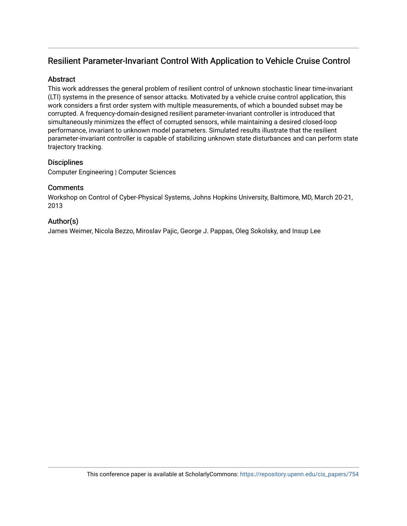## Resilient Parameter-Invariant Control With Application to Vehicle Cruise Control

## Abstract

This work addresses the general problem of resilient control of unknown stochastic linear time-invariant (LTI) systems in the presence of sensor attacks. Motivated by a vehicle cruise control application, this work considers a first order system with multiple measurements, of which a bounded subset may be corrupted. A frequency-domain-designed resilient parameter-invariant controller is introduced that simultaneously minimizes the effect of corrupted sensors, while maintaining a desired closed-loop performance, invariant to unknown model parameters. Simulated results illustrate that the resilient parameter-invariant controller is capable of stabilizing unknown state disturbances and can perform state trajectory tracking.

## **Disciplines**

Computer Engineering | Computer Sciences

## **Comments**

Workshop on Control of Cyber-Physical Systems, Johns Hopkins University, Baltimore, MD, March 20-21, 2013

## Author(s)

James Weimer, Nicola Bezzo, Miroslav Pajic, George J. Pappas, Oleg Sokolsky, and Insup Lee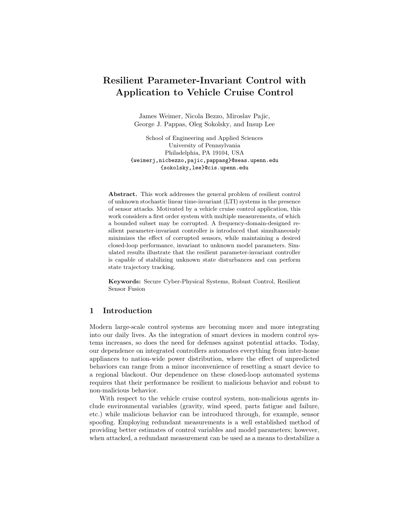## Resilient Parameter-Invariant Control with Application to Vehicle Cruise Control

James Weimer, Nicola Bezzo, Miroslav Pajic, George J. Pappas, Oleg Sokolsky, and Insup Lee

School of Engineering and Applied Sciences University of Pennsylvania Philadelphia, PA 19104, USA {weimerj,nicbezzo,pajic,pappasg}@seas.upenn.edu {sokolsky,lee}@cis.upenn.edu

Abstract. This work addresses the general problem of resilient control of unknown stochastic linear time-invariant (LTI) systems in the presence of sensor attacks. Motivated by a vehicle cruise control application, this work considers a first order system with multiple measurements, of which a bounded subset may be corrupted. A frequency-domain-designed resilient parameter-invariant controller is introduced that simultaneously minimizes the effect of corrupted sensors, while maintaining a desired closed-loop performance, invariant to unknown model parameters. Simulated results illustrate that the resilient parameter-invariant controller is capable of stabilizing unknown state disturbances and can perform state trajectory tracking.

Keywords: Secure Cyber-Physical Systems, Robust Control, Resilient Sensor Fusion

## 1 Introduction

Modern large-scale control systems are becoming more and more integrating into our daily lives. As the integration of smart devices in modern control systems increases, so does the need for defenses against potential attacks. Today, our dependence on integrated controllers automates everything from inter-home appliances to nation-wide power distribution, where the effect of unpredicted behaviors can range from a minor inconvenience of resetting a smart device to a regional blackout. Our dependence on these closed-loop automated systems requires that their performance be resilient to malicious behavior and robust to non-malicious behavior.

With respect to the vehicle cruise control system, non-malicious agents include environmental variables (gravity, wind speed, parts fatigue and failure, etc.) while malicious behavior can be introduced through, for example, sensor spoofing. Employing redundant measurements is a well established method of providing better estimates of control variables and model parameters; however, when attacked, a redundant measurement can be used as a means to destabilize a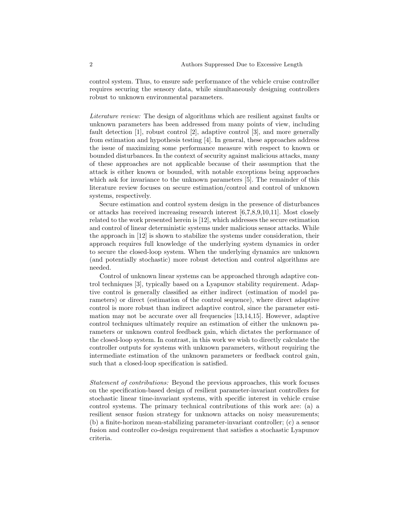control system. Thus, to ensure safe performance of the vehicle cruise controller requires securing the sensory data, while simultaneously designing controllers robust to unknown environmental parameters.

Literature review: The design of algorithms which are resilient against faults or unknown parameters has been addressed from many points of view, including fault detection [1], robust control [2], adaptive control [3], and more generally from estimation and hypothesis testing [4]. In general, these approaches address the issue of maximizing some performance measure with respect to known or bounded disturbances. In the context of security against malicious attacks, many of these approaches are not applicable because of their assumption that the attack is either known or bounded, with notable exceptions being approaches which ask for invariance to the unknown parameters [5]. The remainder of this literature review focuses on secure estimation/control and control of unknown systems, respectively.

Secure estimation and control system design in the presence of disturbances or attacks has received increasing research interest [6,7,8,9,10,11]. Most closely related to the work presented herein is [12], which addresses the secure estimation and control of linear deterministic systems under malicious sensor attacks. While the approach in [12] is shown to stabilize the systems under consideration, their approach requires full knowledge of the underlying system dynamics in order to secure the closed-loop system. When the underlying dynamics are unknown (and potentially stochastic) more robust detection and control algorithms are needed.

Control of unknown linear systems can be approached through adaptive control techniques [3], typically based on a Lyapunov stability requirement. Adaptive control is generally classified as either indirect (estimation of model parameters) or direct (estimation of the control sequence), where direct adaptive control is more robust than indirect adaptive control, since the parameter estimation may not be accurate over all frequencies [13,14,15]. However, adaptive control techniques ultimately require an estimation of either the unknown parameters or unknown control feedback gain, which dictates the performance of the closed-loop system. In contrast, in this work we wish to directly calculate the controller outputs for systems with unknown parameters, without requiring the intermediate estimation of the unknown parameters or feedback control gain, such that a closed-loop specification is satisfied.

Statement of contributions: Beyond the previous approaches, this work focuses on the specification-based design of resilient parameter-invariant controllers for stochastic linear time-invariant systems, with specific interest in vehicle cruise control systems. The primary technical contributions of this work are: (a) a resilient sensor fusion strategy for unknown attacks on noisy measurements; (b) a finite-horizon mean-stabilizing parameter-invariant controller; (c) a sensor fusion and controller co-design requirement that satisfies a stochastic Lyapunov criteria.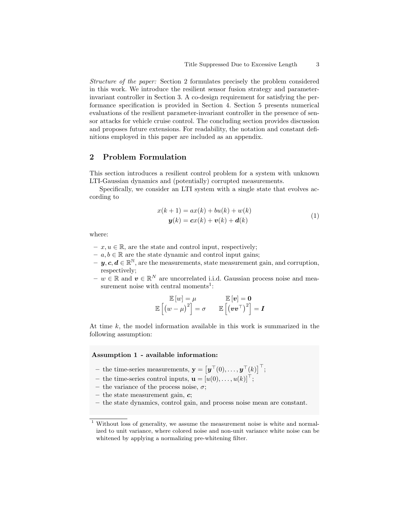Structure of the paper: Section 2 formulates precisely the problem considered in this work. We introduce the resilient sensor fusion strategy and parameterinvariant controller in Section 3. A co-design requirement for satisfying the performance specification is provided in Section 4. Section 5 presents numerical evaluations of the resilient parameter-invariant controller in the presence of sensor attacks for vehicle cruise control. The concluding section provides discussion and proposes future extensions. For readability, the notation and constant definitions employed in this paper are included as an appendix.

### 2 Problem Formulation

This section introduces a resilient control problem for a system with unknown LTI-Gaussian dynamics and (potentially) corrupted measurements.

Specifically, we consider an LTI system with a single state that evolves according to

$$
x(k+1) = ax(k) + bu(k) + w(k)
$$
  

$$
y(k) = cx(k) + v(k) + d(k)
$$
 (1)

where:

- $x, u \in \mathbb{R}$ , are the state and control input, respectively;
- $− a, b ∈ ℝ$  are the state dynamic and control input gains;
- $-\,y,c,d\in\mathbb{R}^{\mathbb{N}},$  are the measurements, state measurement gain, and corruption, respectively;
- $w \in \mathbb{R}$  and  $v \in \mathbb{R}^N$  are uncorrelated i.i.d. Gaussian process noise and measurement noise with central moments<sup>1</sup>:

$$
\mathbb{E}\left[w\right] = \mu \qquad \qquad \mathbb{E}\left[v\right] = \mathbf{0}
$$
\n
$$
\mathbb{E}\left[\left(w - \mu\right)^2\right] = \sigma \qquad \mathbb{E}\left[\left(\boldsymbol{v}\boldsymbol{v}^\top\right)^2\right] = \boldsymbol{I}
$$

At time k, the model information available in this work is summarized in the following assumption:

#### Assumption 1 - available information:

- the time-series measurements,  $\mathbf{y} = [\mathbf{y}^\top(0), \dots, \mathbf{y}^\top(k)]^\top$ ;
- the time-series control inputs,  $\mathbf{u} = [u(0), \dots, u(k)]^{\top}$ ;
- the variance of the process noise,  $\sigma$ ;
- the state measurement gain,  $c$ ;
- the state dynamics, control gain, and process noise mean are constant.

<sup>&</sup>lt;sup>1</sup> Without loss of generality, we assume the measurement noise is white and normalized to unit variance, where colored noise and non-unit variance white noise can be whitened by applying a normalizing pre-whitening filter.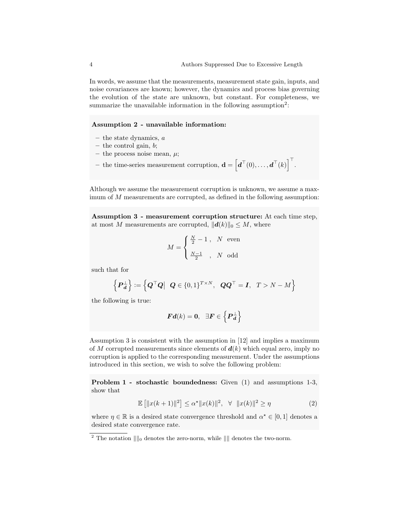In words, we assume that the measurements, measurement state gain, inputs, and noise covariances are known; however, the dynamics and process bias governing the evolution of the state are unknown, but constant. For completeness, we summarize the unavailable information in the following assumption<sup>2</sup>:

#### Assumption 2 - unavailable information:

- the state dynamics,  $a$
- $-$  the control gain,  $b$ ;
- the process noise mean,  $\mu$ ;
- the time-series measurement corruption,  $\mathbf{d} = [\mathbf{d}^\top(0), \dots, \mathbf{d}^\top(k)]^\top$ .

Although we assume the measurement corruption is unknown, we assume a maximum of  $M$  measurements are corrupted, as defined in the following assumption:

Assumption 3 - measurement corruption structure: At each time step, at most M measurements are corrupted,  $||\boldsymbol{d}(k)||_0 \leq M$ , where

$$
M = \begin{cases} \frac{N}{2} - 1, & N \text{ even} \\ \frac{N-1}{2} , & N \text{ odd} \end{cases}
$$

such that for

$$
\left\{\boldsymbol{P}_{\boldsymbol{d}}^{\perp}\right\}:=\left\{\boldsymbol{Q}^{\top}\boldsymbol{Q}\big|\;\;\boldsymbol{Q}\in\{0,1\}^{T\times N},\;\;\boldsymbol{Q}\boldsymbol{Q}^{\top}=\boldsymbol{I},\;\;T>N-M\right\}
$$

the following is true:

$$
\boldsymbol{Fd}(k) = \boldsymbol{0}, \ \ \exists \boldsymbol{F} \in \left\{ \boldsymbol{P}_{\boldsymbol{d}}^{\perp} \right\}
$$

Assumption 3 is consistent with the assumption in [12] and implies a maximum of M corrupted measurements since elements of  $d(k)$  which equal zero, imply no corruption is applied to the corresponding measurement. Under the assumptions introduced in this section, we wish to solve the following problem:

Problem 1 - stochastic boundedness: Given (1) and assumptions 1-3, show that

$$
\mathbb{E} [||x(k+1)||^2] \le \alpha^* ||x(k)||^2, \ \forall \ ||x(k)||^2 \ge \eta
$$
 (2)

where  $\eta \in \mathbb{R}$  is a desired state convergence threshold and  $\alpha^* \in [0,1]$  denotes a desired state convergence rate.

<sup>&</sup>lt;sup>2</sup> The notation  $\|\|_0$  denotes the zero-norm, while  $\|\|$  denotes the two-norm.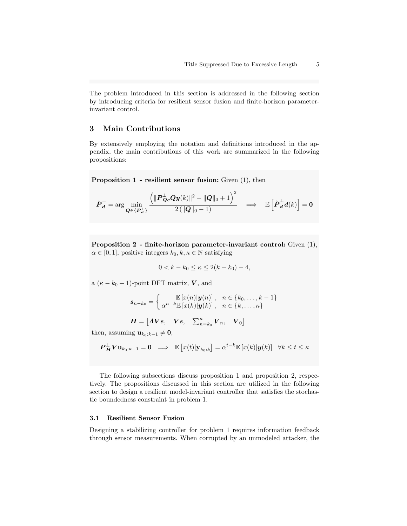The problem introduced in this section is addressed in the following section by introducing criteria for resilient sensor fusion and finite-horizon parameterinvariant control.

#### 3 Main Contributions

By extensively employing the notation and definitions introduced in the appendix, the main contributions of this work are summarized in the following propositions:

Proposition 1 - resilient sensor fusion: Given (1), then

$$
\hat{\boldsymbol{P}}_{\boldsymbol{d}}^{\perp}=\arg\min_{\boldsymbol{Q}\in\{\boldsymbol{P}_{\boldsymbol{d}}^{\perp}\}}\frac{\left(\|\boldsymbol{P}_{\boldsymbol{Q}\boldsymbol{c}}^{\perp}\boldsymbol{Q}\boldsymbol{y}(k)\|^2-\|\boldsymbol{Q}\|_0+1\right)^2}{2\left(\|\boldsymbol{Q}\|_0-1\right)}\quad\Longrightarrow\quad\mathbb{E}\left[\hat{\boldsymbol{P}}_{\boldsymbol{d}}^{\perp}\boldsymbol{d}(k)\right]=\boldsymbol{0}
$$

Proposition 2 - finite-horizon parameter-invariant control: Given (1),  $\alpha \in [0, 1]$ , positive integers  $k_0, k, \kappa \in \mathbb{N}$  satisfying

$$
0 < k - k_0 \le \kappa \le 2(k - k_0) - 4,
$$

a  $(\kappa - k_0 + 1)$ -point DFT matrix,  $V$ , and

$$
\mathbf{s}_{n-k_0} = \begin{cases} \mathbb{E}\left[x(n)|\mathbf{y}(n)\right], & n \in \{k_0, \ldots, k-1\} \\ \alpha^{n-k} \mathbb{E}\left[x(k)|\mathbf{y}(k)\right], & n \in \{k, \ldots, \kappa\} \end{cases}
$$

$$
\mathbf{H} = \begin{bmatrix} \mathbf{\Lambda} \mathbf{V} \mathbf{s}, & \mathbf{V} \mathbf{s}, & \sum_{n=k_0}^{\kappa} \mathbf{V}_n, & \mathbf{V}_0 \end{bmatrix}
$$

then, assuming  $\mathbf{u}_{k_0:k-1} \neq \mathbf{0}$ ,

$$
\boldsymbol{P}_{\boldsymbol{H}}^{\perp} \boldsymbol{V} \mathbf{u}_{k_0:\kappa-1} = \mathbf{0} \implies \mathbb{E}\left[x(t)|\mathbf{y}_{k_0:k}\right] = \alpha^{t-k} \mathbb{E}\left[x(k)|\boldsymbol{y}(k)\right] \quad \forall k \le t \le \kappa
$$

The following subsections discuss proposition 1 and proposition 2, respectively. The propositions discussed in this section are utilized in the following section to design a resilient model-invariant controller that satisfies the stochastic boundedness constraint in problem 1.

#### 3.1 Resilient Sensor Fusion

Designing a stabilizing controller for problem 1 requires information feedback through sensor measurements. When corrupted by an unmodeled attacker, the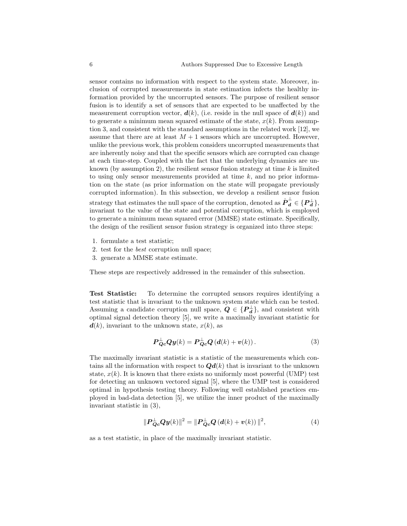sensor contains no information with respect to the system state. Moreover, inclusion of corrupted measurements in state estimation infects the healthy information provided by the uncorrupted sensors. The purpose of resilient sensor fusion is to identify a set of sensors that are expected to be unaffected by the measurement corruption vector,  $d(k)$ , (i.e. reside in the null space of  $d(k)$ ) and to generate a minimum mean squared estimate of the state,  $x(k)$ . From assumption 3, and consistent with the standard assumptions in the related work [12], we assume that there are at least  $M + 1$  sensors which are uncorrupted. However, unlike the previous work, this problem considers uncorrupted measurements that are inherently noisy and that the specific sensors which are corrupted can change at each time-step. Coupled with the fact that the underlying dynamics are unknown (by assumption 2), the resilient sensor fusion strategy at time  $k$  is limited to using only sensor measurements provided at time  $k$ , and no prior information on the state (as prior information on the state will propagate previously corrupted information). In this subsection, we develop a resilient sensor fusion strategy that estimates the null space of the corruption, denoted as  $\hat{\textbf{P}}_{\textbf{d}}^{\perp} \in \{\textbf{P}_{\textbf{d}}^{\perp}\},$ invariant to the value of the state and potential corruption, which is employed to generate a minimum mean squared error (MMSE) state estimate. Specifically, the design of the resilient sensor fusion strategy is organized into three steps:

- 1. formulate a test statistic;
- 2. test for the best corruption null space;
- 3. generate a MMSE state estimate.

These steps are respectively addressed in the remainder of this subsection.

Test Statistic: To determine the corrupted sensors requires identifying a test statistic that is invariant to the unknown system state which can be tested. Assuming a candidate corruption null space,  $Q \in \{P_d^{\perp}\}\$ , and consistent with optimal signal detection theory [5], we write a maximally invariant statistic for  $d(k)$ , invariant to the unknown state,  $x(k)$ , as

$$
\boldsymbol{P}_{\boldsymbol{Q}\boldsymbol{c}}^{\perp}\boldsymbol{Q}\boldsymbol{y}(k) = \boldsymbol{P}_{\boldsymbol{Q}\boldsymbol{c}}^{\perp}\boldsymbol{Q}\left(\boldsymbol{d}(k) + \boldsymbol{v}(k)\right). \tag{3}
$$

The maximally invariant statistic is a statistic of the measurements which contains all the information with respect to  $\mathbf{Qd}(k)$  that is invariant to the unknown state,  $x(k)$ . It is known that there exists no uniformly most powerful (UMP) test for detecting an unknown vectored signal [5], where the UMP test is considered optimal in hypothesis testing theory. Following well established practices employed in bad-data detection [5], we utilize the inner product of the maximally invariant statistic in (3),

$$
\|\mathbf{P}_{\mathbf{Qc}}^{\perp}\mathbf{Qy}(k)\|^2 = \|\mathbf{P}_{\mathbf{Qc}}^{\perp}\mathbf{Q}\left(\mathbf{d}(k) + \mathbf{v}(k)\right)\|^2, \tag{4}
$$

as a test statistic, in place of the maximally invariant statistic.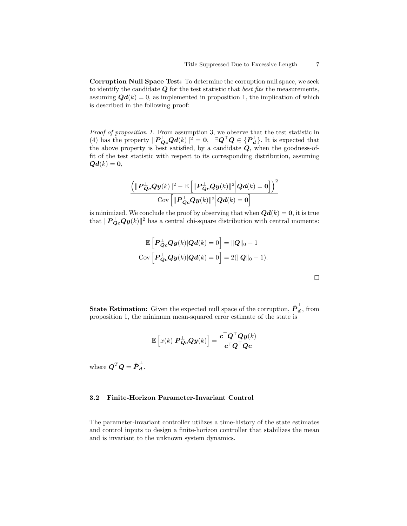Corruption Null Space Test: To determine the corruption null space, we seek to identify the candidate  $Q$  for the test statistic that *best fits* the measurements, assuming  $\mathbf{Q}d(k) = 0$ , as implemented in proposition 1, the implication of which is described in the following proof:

Proof of proposition 1. From assumption 3, we observe that the test statistic in (4) has the property  $||\boldsymbol{P}_{\boldsymbol{Q}\boldsymbol{c}}^{\perp}\boldsymbol{Q}\boldsymbol{d}(k)||^2 = \boldsymbol{0}, \quad \exists \boldsymbol{Q}^{\top}\boldsymbol{Q} \in {\{\boldsymbol{P}_{\boldsymbol{d}}^{\perp}\}\.}$  It is expected that the above property is best satisfied, by a candidate  $Q$ , when the goodness-offit of the test statistic with respect to its corresponding distribution, assuming  $\boldsymbol{Q}d(k) = \boldsymbol{0},$ 

$$
\frac{\left(\|\boldsymbol{P}_{\boldsymbol{Q}\boldsymbol{c}}^{\perp}\boldsymbol{Q}\boldsymbol{y}(k)\|^2-\mathbb{E}\left[\|\boldsymbol{P}_{\boldsymbol{Q}\boldsymbol{c}}^{\perp}\boldsymbol{Q}\boldsymbol{y}(k)\|^2\Big|\boldsymbol{Q}\boldsymbol{d}(k)=\boldsymbol{0}\right]\right)^2}{\text{Cov}\left[\|\boldsymbol{P}_{\boldsymbol{Q}\boldsymbol{c}}^{\perp}\boldsymbol{Q}\boldsymbol{y}(k)\|^2\Big|\boldsymbol{Q}\boldsymbol{d}(k)=\boldsymbol{0}\right]}
$$

is minimized. We conclude the proof by observing that when  $\mathbf{Q}d(k) = \mathbf{0}$ , it is true that  $||P^{\perp}_{\mathbf{Qc}}\mathbf{Qy}(k)||^2$  has a central chi-square distribution with central moments:

$$
\mathbb{E}\left[\boldsymbol{P}_{\boldsymbol{Q}\boldsymbol{c}}^{\perp}\boldsymbol{Q}\boldsymbol{y}(k)|\boldsymbol{Q}\boldsymbol{d}(k)=0\right]=\|\boldsymbol{Q}\|_{0}-1
$$
  
 
$$
\text{Cov}\left[\boldsymbol{P}_{\boldsymbol{Q}\boldsymbol{c}}^{\perp}\boldsymbol{Q}\boldsymbol{y}(k)|\boldsymbol{Q}\boldsymbol{d}(k)=0\right]=2(\|\boldsymbol{Q}\|_{0}-1).
$$

**State Estimation:** Given the expected null space of the corruption,  $\hat{P}_d^{\perp}$  $\frac{1}{d}$ , from proposition 1, the minimum mean-squared error estimate of the state is

$$
\mathbb{E}\left[x(k)|\boldsymbol{P}_{\boldsymbol{Q}\boldsymbol{c}}^{\perp}\boldsymbol{Q}\boldsymbol{y}(k)\right]=\frac{\boldsymbol{c}^{\top}\boldsymbol{Q}^{\top}\boldsymbol{Q}\boldsymbol{y}(k)}{\boldsymbol{c}^{\top}\boldsymbol{Q}^{\top}\boldsymbol{Q}\boldsymbol{c}}
$$

where  $\boldsymbol{Q}^T\boldsymbol{Q} = \hat{\boldsymbol{P}}_{{\boldsymbol{d}}}^\perp$  $\overset{+}{a}$  .

#### 3.2 Finite-Horizon Parameter-Invariant Control

The parameter-invariant controller utilizes a time-history of the state estimates and control inputs to design a finite-horizon controller that stabilizes the mean and is invariant to the unknown system dynamics.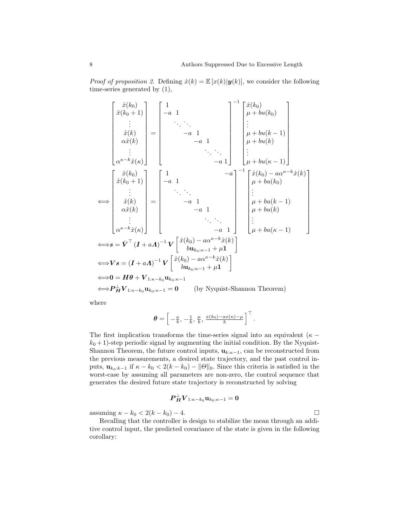*Proof of proposition 2.* Defining  $\hat{x}(k) = \mathbb{E}[x(k)|y(k)]$ , we consider the following time-series generated by (1),

$$
\begin{bmatrix}\n\hat{x}(k_{0}) \\
\hat{x}(k_{0}+1) \\
\vdots \\
\hat{x}(k) \\
\hat{\alpha}\hat{x}(k) \\
\vdots \\
\alpha^{k-k}\hat{x}(\kappa)\n\end{bmatrix} = \begin{bmatrix}\n1 & & & & & \\
-a & 1 & & & & \\
& -a & 1 & & & \\
& & -a & 1 & & \\
& & & -a & 1 & \\
& & & & -a & 1\n\end{bmatrix}\n\begin{bmatrix}\n\hat{x}(k_{0}) \\
\mu + bu(k_{0}) \\
\mu + bu(k_{0}) \\
\vdots \\
\mu + bu(k_{0})\n\end{bmatrix}
$$
\n
$$
\Leftrightarrow \begin{bmatrix}\n\hat{x}(k_{0}) \\
\hat{x}(k_{0}+1) \\
\vdots \\
\hat{x}(k_{0}) \\
\vdots \\
\hat{x}(k_{0})\n\end{bmatrix} = \begin{bmatrix}\n1 & & & & & \\
-a & 1 & & & \\
& -a & 1 & & \\
& & \ddots & \ddots & \\
& & -a & 1 & \\
& & & -a & 1 \\
& & & & -a & 1\n\end{bmatrix}\n\begin{bmatrix}\n\hat{x}(k_{0}) - a\alpha^{k-k}\hat{x}(k) \\
\mu + bu(k_{0}) \\
\vdots \\
\mu + bu(k_{0})\n\end{bmatrix}
$$
\n
$$
\Leftrightarrow s = \bar{V}^{\top} (I + a\Lambda)^{-1} V \begin{bmatrix}\n\hat{x}(k_{0}) - a\alpha^{k-k}\hat{x}(k) \\
\hbar u_{k_{0}:k-1} + \mu I\n\end{bmatrix}
$$
\n
$$
\Leftrightarrow \mathbf{v} s = (I + a\Lambda)^{-1} V \begin{bmatrix}\n\hat{x}(k_{0}) - a\alpha^{k-k}\hat{x}(k) \\
\hbar u_{k_{0}:k-1} + \mu I\n\end{bmatrix}
$$
\n
$$
\Leftrightarrow \mathbf{v} = \mathbf{H}\boldsymbol{\theta} + \mathbf{V}_{1:\kappa-k_{0}} \mathbf{u}_{k_{0}:k-1} = \mathbf{0} \qquad \text{(by Nyquist-Shannon Theorem)}
$$

where

$$
\boldsymbol{\theta} = \left[ -\frac{a}{b}, -\frac{1}{b}, \frac{\mu}{b}, \frac{x(k_0) - ax(\kappa) - \mu}{b} \right]^\top.
$$

The first implication transforms the time-series signal into an equivalent ( $\kappa$  −  $k_0 + 1$ )-step periodic signal by augmenting the initial condition. By the Nyquist-Shannon Theorem, the future control inputs,  $\mathbf{u}_{k:\kappa-1}$ , can be reconstructed from the previous measurements, a desired state trajectory, and the past control inputs,  $\mathbf{u}_{k_0:k-1}$  if  $\kappa - k_0 < 2(k - k_0) - ||\Theta||_0$ . Since this criteria is satisfied in the worst-case by assuming all parameters are non-zero, the control sequence that generates the desired future state trajectory is reconstructed by solving

$$
\pmb{P}_{\pmb{H}}^\perp \pmb{V}_{1:\kappa-k_0} \mathbf{u}_{k_0:\kappa-1} = \pmb{0}
$$

assuming  $\kappa - k_0 < 2(k - k_0) - 4$ .

Recalling that the controller is design to stabilize the mean through an additive control input, the predicted covariance of the state is given in the following corollary: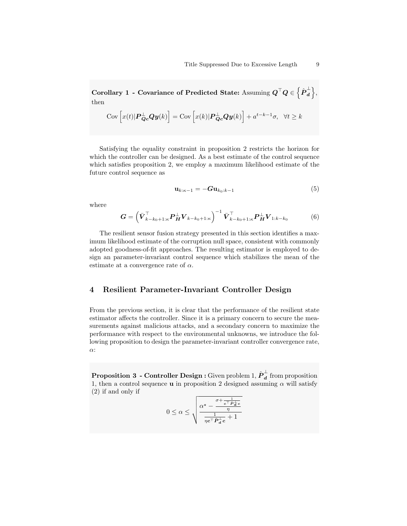Corollary 1 - Covariance of Predicted State: Assuming  $Q^{\top} Q \in \left\{ \hat{P}^{\perp}_{d}\right\}$  $\frac{\bot}{d}$ , then

$$
Cov\left[x(t)|\mathbf{P}_{\mathbf{Q}c}^{\perp}\mathbf{Q}y(k)\right] = Cov\left[x(k)|\mathbf{P}_{\mathbf{Q}c}^{\perp}\mathbf{Q}y(k)\right] + a^{t-k-1}\sigma, \quad \forall t \ge k
$$

Satisfying the equality constraint in proposition 2 restricts the horizon for which the controller can be designed. As a best estimate of the control sequence which satisfies proposition 2, we employ a maximum likelihood estimate of the future control sequence as

$$
\mathbf{u}_{k:\kappa-1} = -G\mathbf{u}_{k_0:k-1} \tag{5}
$$

where

$$
G = \left(\bar{V}_{k-k_0+1:k}^{\top} P_H^{\perp} V_{k-k_0+1:k}\right)^{-1} \bar{V}_{k-k_0+1:k}^{\top} P_H^{\perp} V_{1:k-k_0}
$$
 (6)

The resilient sensor fusion strategy presented in this section identifies a maximum likelihood estimate of the corruption null space, consistent with commonly adopted goodness-of-fit approaches. The resulting estimator is employed to design an parameter-invariant control sequence which stabilizes the mean of the estimate at a convergence rate of  $\alpha$ .

### 4 Resilient Parameter-Invariant Controller Design

From the previous section, it is clear that the performance of the resilient state estimator affects the controller. Since it is a primary concern to secure the measurements against malicious attacks, and a secondary concern to maximize the performance with respect to the environmental unknowns, we introduce the following proposition to design the parameter-invariant controller convergence rate, α:

Proposition 3 - Controller Design : Given problem 1,  ${\hat P}_d^{\perp}$  $\frac{1}{d}$  from proposition 1, then a control sequence **u** in proposition 2 designed assuming  $\alpha$  will satisfy (2) if and only if

$$
0 \leq \alpha \leq \sqrt{\frac{\alpha^{\star} - \frac{1}{c^{\top} \hat{P}_{d}^{\perp} c}}{\frac{1}{\eta c^{\top} \hat{P}_{d}^{\perp} c} + 1}}
$$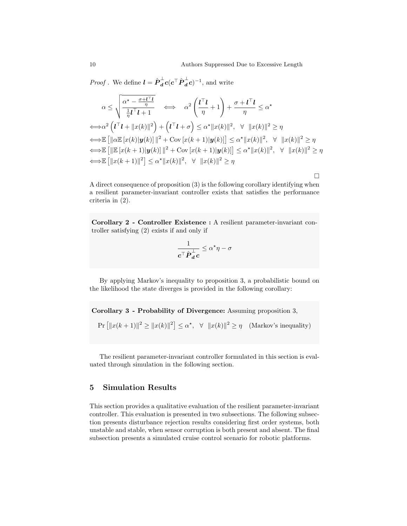$\Box$ 

*Proof*. We define  $\mathbf{l} = \hat{\boldsymbol{P}}_{\boldsymbol{d}}^{\perp} \boldsymbol{c} (\boldsymbol{c}^{\top} \hat{\boldsymbol{P}}_{\boldsymbol{d}}^{\perp} \boldsymbol{c})^{-1}$ , and write

$$
\alpha \leq \sqrt{\frac{\alpha^* - \frac{\sigma + l^\top l}{\eta}}{\frac{1}{\eta} l^\top l + 1}} \iff \alpha^2 \left( \frac{l^\top l}{\eta} + 1 \right) + \frac{\sigma + l^\top l}{\eta} \leq \alpha^*
$$
  

$$
\iff \alpha^2 \left( l^\top l + \|x(k)\|^2 \right) + \left( l^\top l + \sigma \right) \leq \alpha^* \|x(k)\|^2, \quad \forall \quad \|x(k)\|^2 \geq \eta
$$
  

$$
\iff \mathbb{E} \left[ \|\alpha \mathbb{E} \left[ x(k) | \mathbf{y}(k) \right] \|^2 + \text{Cov} \left[ x(k+1) | \mathbf{y}(k) \right] \right] \leq \alpha^* \|x(k)\|^2, \quad \forall \quad \|x(k)\|^2 \geq \eta
$$
  

$$
\iff \mathbb{E} \left[ \|\mathbb{E} \left[ x(k+1) | \mathbf{y}(k) \right] \|^2 + \text{Cov} \left[ x(k+1) | \mathbf{y}(k) \right] \right] \leq \alpha^* \|x(k)\|^2, \quad \forall \quad \|x(k)\|^2 \geq \eta
$$
  

$$
\iff \mathbb{E} \left[ \|x(k+1)\|^2 \right] \leq \alpha^* \|x(k)\|^2, \quad \forall \quad \|x(k)\|^2 \geq \eta
$$

A direct consequence of proposition (3) is the following corollary identifying when a resilient parameter-invariant controller exists that satisfies the performance criteria in (2).

Corollary 2 - Controller Existence : A resilient parameter-invariant controller satisfying (2) exists if and only if

$$
\frac{1}{c^{\top}\hat{\boldsymbol{P}}_{\boldsymbol{d}}^{\perp}\boldsymbol{c}} \leq \alpha^{\star}\eta - \sigma
$$

By applying Markov's inequality to proposition 3, a probabilistic bound on the likelihood the state diverges is provided in the following corollary:

Corollary 3 - Probability of Divergence: Assuming proposition 3,

 $\Pr \left[ \|x(k+1)\|^2 \geq \|x(k)\|^2 \right] \leq \alpha^*$ ,  $\forall$   $\|x(k)\|^2 \geq \eta$  (Markov's inequality)

The resilient parameter-invariant controller formulated in this section is evaluated through simulation in the following section.

## 5 Simulation Results

This section provides a qualitative evaluation of the resilient parameter-invariant controller. This evaluation is presented in two subsections. The following subsection presents disturbance rejection results considering first order systems, both unstable and stable, when sensor corruption is both present and absent. The final subsection presents a simulated cruise control scenario for robotic platforms.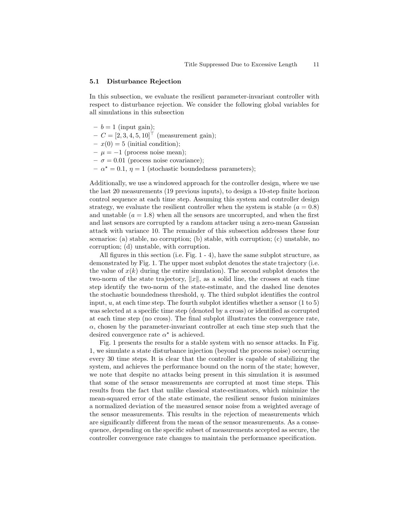#### 5.1 Disturbance Rejection

In this subsection, we evaluate the resilient parameter-invariant controller with respect to disturbance rejection. We consider the following global variables for all simulations in this subsection

- $b = 1$  (input gain);
- $-C = [2, 3, 4, 5, 10]^\top$  (measurement gain);
- $x(0) = 5$  (initial condition);
- $-\mu = -1$  (process noise mean);
- $\sigma = 0.01$  (process noise covariance);
- $-\alpha^* = 0.1$ ,  $\eta = 1$  (stochastic boundedness parameters);

Additionally, we use a windowed approach for the controller design, where we use the last 20 measurements (19 previous inputs), to design a 10-step finite horizon control sequence at each time step. Assuming this system and controller design strategy, we evaluate the resilient controller when the system is stable  $(a = 0.8)$ and unstable  $(a = 1.8)$  when all the sensors are uncorrupted, and when the first and last sensors are corrupted by a random attacker using a zero-mean Gaussian attack with variance 10. The remainder of this subsection addresses these four scenarios: (a) stable, no corruption; (b) stable, with corruption; (c) unstable, no corruption; (d) unstable, with corruption.

All figures in this section (i.e. Fig. 1 - 4), have the same subplot structure, as demonstrated by Fig. 1. The upper most subplot denotes the state trajectory (i.e. the value of  $x(k)$  during the entire simulation). The second subplot denotes the two-norm of the state trajectory,  $||x||$ , as a solid line, the crosses at each time step identify the two-norm of the state-estimate, and the dashed line denotes the stochastic boundedness threshold,  $\eta$ . The third subplot identifies the control input,  $u$ , at each time step. The fourth subplot identifies whether a sensor  $(1 \text{ to } 5)$ was selected at a specific time step (denoted by a cross) or identified as corrupted at each time step (no cross). The final subplot illustrates the convergence rate,  $\alpha$ , chosen by the parameter-invariant controller at each time step such that the desired convergence rate  $\alpha^*$  is achieved.

Fig. 1 presents the results for a stable system with no sensor attacks. In Fig. 1, we simulate a state disturbance injection (beyond the process noise) occurring every 30 time steps. It is clear that the controller is capable of stabilizing the system, and achieves the performance bound on the norm of the state; however, we note that despite no attacks being present in this simulation it is assumed that some of the sensor measurements are corrupted at most time steps. This results from the fact that unlike classical state-estimators, which minimize the mean-squared error of the state estimate, the resilient sensor fusion minimizes a normalized deviation of the measured sensor noise from a weighted average of the sensor measurements. This results in the rejection of measurements which are significantly different from the mean of the sensor measurements. As a consequence, depending on the specific subset of measurements accepted as secure, the controller convergence rate changes to maintain the performance specification.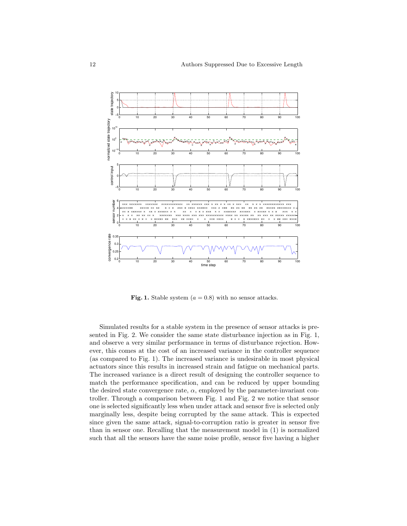

Fig. 1. Stable system  $(a = 0.8)$  with no sensor attacks.

Simulated results for a stable system in the presence of sensor attacks is presented in Fig. 2. We consider the same state disturbance injection as in Fig. 1, and observe a very similar performance in terms of disturbance rejection. However, this comes at the cost of an increased variance in the controller sequence (as compared to Fig. 1). The increased variance is undesirable in most physical actuators since this results in increased strain and fatigue on mechanical parts. The increased variance is a direct result of designing the controller sequence to match the performance specification, and can be reduced by upper bounding the desired state convergence rate,  $\alpha$ , employed by the parameter-invariant controller. Through a comparison between Fig. 1 and Fig. 2 we notice that sensor one is selected significantly less when under attack and sensor five is selected only marginally less, despite being corrupted by the same attack. This is expected since given the same attack, signal-to-corruption ratio is greater in sensor five than in sensor one. Recalling that the measurement model in (1) is normalized such that all the sensors have the same noise profile, sensor five having a higher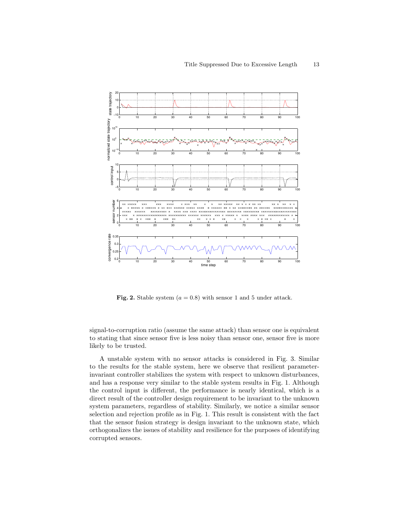

Fig. 2. Stable system  $(a = 0.8)$  with sensor 1 and 5 under attack.

signal-to-corruption ratio (assume the same attack) than sensor one is equivalent to stating that since sensor five is less noisy than sensor one, sensor five is more likely to be trusted.

A unstable system with no sensor attacks is considered in Fig. 3. Similar to the results for the stable system, here we observe that resilient parameterinvariant controller stabilizes the system with respect to unknown disturbances, and has a response very similar to the stable system results in Fig. 1. Although the control input is different, the performance is nearly identical, which is a direct result of the controller design requirement to be invariant to the unknown system parameters, regardless of stability. Similarly, we notice a similar sensor selection and rejection profile as in Fig. 1. This result is consistent with the fact that the sensor fusion strategy is design invariant to the unknown state, which orthogonalizes the issues of stability and resilience for the purposes of identifying corrupted sensors.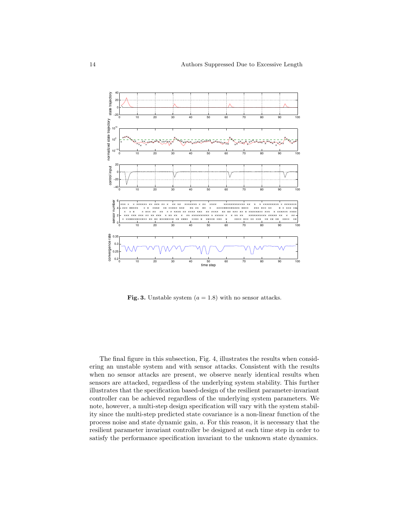

Fig. 3. Unstable system  $(a = 1.8)$  with no sensor attacks.

The final figure in this subsection, Fig. 4, illustrates the results when considering an unstable system and with sensor attacks. Consistent with the results when no sensor attacks are present, we observe nearly identical results when sensors are attacked, regardless of the underlying system stability. This further illustrates that the specification based-design of the resilient parameter-invariant controller can be achieved regardless of the underlying system parameters. We note, however, a multi-step design specification will vary with the system stability since the multi-step predicted state covariance is a non-linear function of the process noise and state dynamic gain, a. For this reason, it is necessary that the resilient parameter invariant controller be designed at each time step in order to satisfy the performance specification invariant to the unknown state dynamics.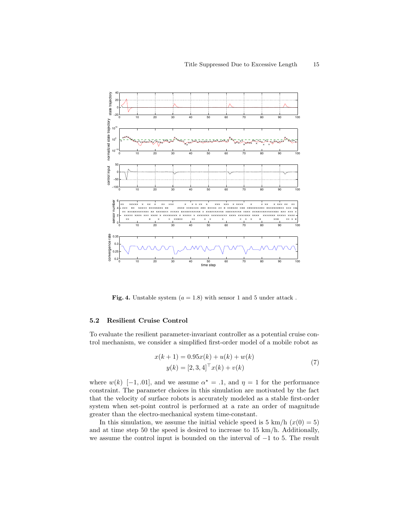

Fig. 4. Unstable system  $(a = 1.8)$  with sensor 1 and 5 under attack.

#### 5.2 Resilient Cruise Control

To evaluate the resilient parameter-invariant controller as a potential cruise control mechanism, we consider a simplified first-order model of a mobile robot as

$$
x(k+1) = 0.95x(k) + u(k) + w(k)
$$
  
\n
$$
y(k) = [2, 3, 4]^T x(k) + v(k)
$$
\n(7)

where  $w(k)$  [-1, .01], and we assume  $\alpha^* = 0.1$ , and  $\eta = 1$  for the performance constraint. The parameter choices in this simulation are motivated by the fact that the velocity of surface robots is accurately modeled as a stable first-order system when set-point control is performed at a rate an order of magnitude greater than the electro-mechanical system time-constant.

In this simulation, we assume the initial vehicle speed is 5 km/h  $(x(0) = 5)$ and at time step 50 the speed is desired to increase to 15 km/h. Additionally, we assume the control input is bounded on the interval of −1 to 5. The result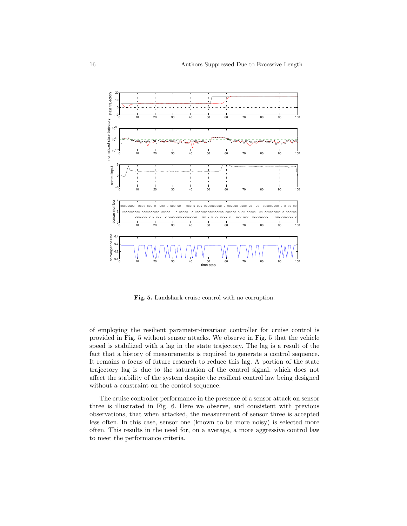

Fig. 5. Landshark cruise control with no corruption.

of employing the resilient parameter-invariant controller for cruise control is provided in Fig. 5 without sensor attacks. We observe in Fig. 5 that the vehicle speed is stabilized with a lag in the state trajectory. The lag is a result of the fact that a history of measurements is required to generate a control sequence. It remains a focus of future research to reduce this lag. A portion of the state trajectory lag is due to the saturation of the control signal, which does not affect the stability of the system despite the resilient control law being designed without a constraint on the control sequence.

The cruise controller performance in the presence of a sensor attack on sensor three is illustrated in Fig. 6. Here we observe, and consistent with previous observations, that when attacked, the measurement of sensor three is accepted less often. In this case, sensor one (known to be more noisy) is selected more often. This results in the need for, on a average, a more aggressive control law to meet the performance criteria.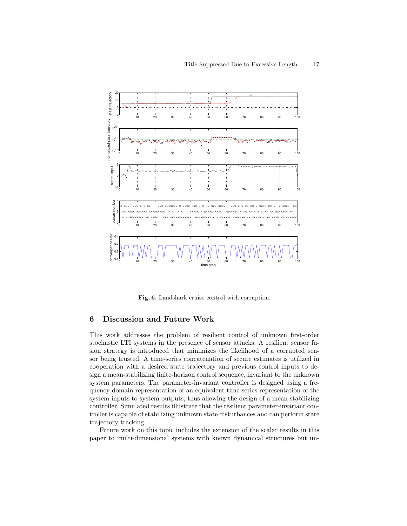

Fig. 6. Landshark cruise control with corruption.

## 6 Discussion and Future Work

This work addresses the problem of resilient control of unknown first-order stochastic LTI systems in the presence of sensor attacks. A resilient sensor fusion strategy is introduced that minimizes the likelihood of a corrupted sensor being trusted. A time-series concatenation of secure estimates is utilized in cooperation with a desired state trajectory and previous control inputs to design a mean-stabilizing finite-horizon control sequence, invariant to the unknown system parameters. The parameter-invariant controller is designed using a frequency domain representation of an equivalent time-series representation of the system inputs to system outputs, thus allowing the design of a mean-stabilizing controller. Simulated results illustrate that the resilient parameter-invariant controller is capable of stabilizing unknown state disturbances and can perform state trajectory tracking.

Future work on this topic includes the extension of the scalar results in this paper to multi-dimensional systems with known dynamical structures but un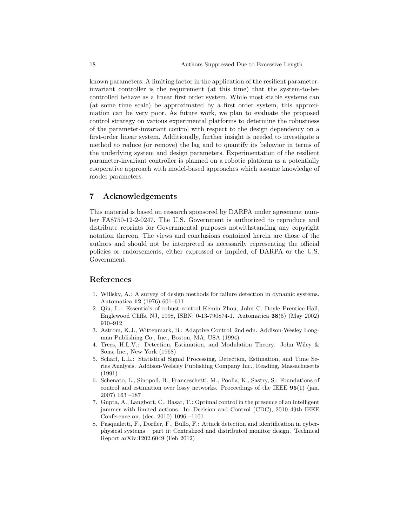known parameters. A limiting factor in the application of the resilient parameterinvariant controller is the requirement (at this time) that the system-to-becontrolled behave as a linear first order system. While most stable systems can (at some time scale) be approximated by a first order system, this approximation can be very poor. As future work, we plan to evaluate the proposed control strategy on various experimental platforms to determine the robustness of the parameter-invariant control with respect to the design dependency on a first-order linear system. Additionally, further insight is needed to investigate a method to reduce (or remove) the lag and to quantify its behavior in terms of the underlying system and design parameters. Experimentation of the resilient parameter-invariant controller is planned on a robotic platform as a potentially cooperative approach with model-based approaches which assume knowledge of model parameters.

#### 7 Acknowledgements

This material is based on research sponsored by DARPA under agreement number FA8750-12-2-0247. The U.S. Government is authorized to reproduce and distribute reprints for Governmental purposes notwithstanding any copyright notation thereon. The views and conclusions contained herein are those of the authors and should not be interpreted as necessarily representing the official policies or endorsements, either expressed or implied, of DARPA or the U.S. Government.

#### References

- 1. Willsky, A.: A survey of design methods for failure detection in dynamic systems. Automatica 12 (1976) 601–611
- 2. Qiu, L.: Essentials of robust control Kemin Zhou, John C. Doyle Prentice-Hall, Englewood Cliffs, NJ, 1998, ISBN: 0-13-790874-1. Automatica 38(5) (May 2002) 910–912
- 3. Astrom, K.J., Wittenmark, B.: Adaptive Control. 2nd edn. Addison-Wesley Longman Publishing Co., Inc., Boston, MA, USA (1994)
- 4. Trees, H.L.V.: Detection, Estimation, and Modulation Theory. John Wiley & Sons, Inc., New York (1968)
- 5. Scharf, L.L.: Statistical Signal Processing, Detection, Estimation, and Time Series Analysis. Addison-Welsley Publishing Company Inc., Reading, Massachusetts (1991)
- 6. Schenato, L., Sinopoli, B., Franceschetti, M., Poolla, K., Sastry, S.: Foundations of control and estimation over lossy networks. Proceedings of the IEEE 95(1) (jan. 2007) 163 –187
- 7. Gupta, A., Langbort, C., Basar, T.: Optimal control in the presence of an intelligent jammer with limited actions. In: Decision and Control (CDC), 2010 49th IEEE Conference on. (dec. 2010) 1096 –1101
- 8. Pasqualetti, F., Dörfler, F., Bullo, F.: Attack detection and identification in cyberphysical systems – part ii: Centralized and distributed monitor design. Technical Report arXiv:1202.6049 (Feb 2012)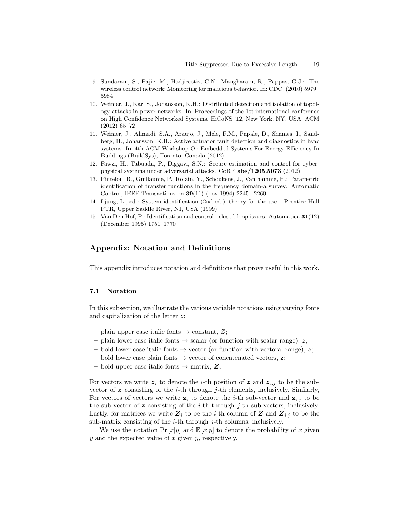- 9. Sundaram, S., Pajic, M., Hadjicostis, C.N., Mangharam, R., Pappas, G.J.: The wireless control network: Monitoring for malicious behavior. In: CDC. (2010) 5979– 5984
- 10. Weimer, J., Kar, S., Johansson, K.H.: Distributed detection and isolation of topology attacks in power networks. In: Proceedings of the 1st international conference on High Confidence Networked Systems. HiCoNS '12, New York, NY, USA, ACM (2012) 65–72
- 11. Weimer, J., Ahmadi, S.A., Araujo, J., Mele, F.M., Papale, D., Shames, I., Sandberg, H., Johansson, K.H.: Active actuator fault detection and diagnostics in hvac systems. In: 4th ACM Workshop On Embedded Systems For Energy-Efficiency In Buildings (BuildSys), Toronto, Canada (2012)
- 12. Fawzi, H., Tabuada, P., Diggavi, S.N.: Secure estimation and control for cyberphysical systems under adversarial attacks. CoRR abs/1205.5073 (2012)
- 13. Pintelon, R., Guillaume, P., Rolain, Y., Schoukens, J., Van hamme, H.: Parametric identification of transfer functions in the frequency domain-a survey. Automatic Control, IEEE Transactions on 39(11) (nov 1994) 2245 –2260
- 14. Ljung, L., ed.: System identification (2nd ed.): theory for the user. Prentice Hall PTR, Upper Saddle River, NJ, USA (1999)
- 15. Van Den Hof, P.: Identification and control closed-loop issues. Automatica 31(12) (December 1995) 1751–1770

#### Appendix: Notation and Definitions

This appendix introduces notation and definitions that prove useful in this work.

#### 7.1 Notation

In this subsection, we illustrate the various variable notations using varying fonts and capitalization of the letter  $z$ :

- plain upper case italic fonts  $\rightarrow$  constant, Z;
- plain lower case italic fonts  $\rightarrow$  scalar (or function with scalar range), z;
- bold lower case italic fonts  $\rightarrow$  vector (or function with vectoral range), z;
- bold lower case plain fonts  $\rightarrow$  vector of concatenated vectors, z;
- bold upper case italic fonts  $\rightarrow$  matrix,  $\mathbf{Z}$ ;

For vectors we write  $z_i$  to denote the *i*-th position of z and  $z_{i:j}$  to be the subvector of  $z$  consisting of the *i*-th through  $j$ -th elements, inclusively. Similarly, For vectors of vectors we write  $z_i$  to denote the *i*-th sub-vector and  $z_{i:j}$  to be the sub-vector of  $z$  consisting of the *i*-th through  $j$ -th sub-vectors, inclusively. Lastly, for matrices we write  $\mathbf{Z}_i$  to be the *i*-th column of  $\mathbf{Z}$  and  $\mathbf{Z}_{i:j}$  to be the sub-matrix consisting of the  $i$ -th through  $j$ -th columns, inclusively.

We use the notation  $Pr [x|y]$  and  $E [x|y]$  to denote the probability of x given  $y$  and the expected value of  $x$  given  $y$ , respectively,